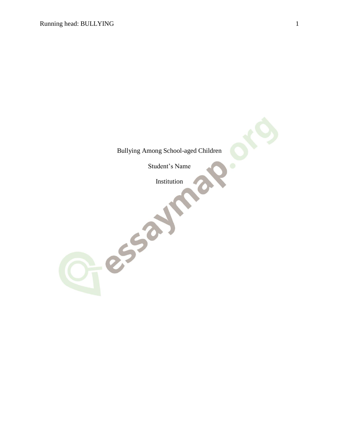Bullying Among School-aged Children

Student's Name

Institution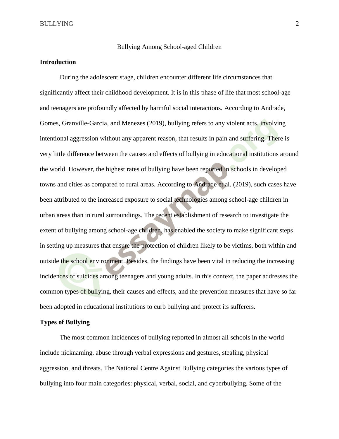Bullying Among School-aged Children

# **Introduction**

During the adolescent stage, children encounter different life circumstances that significantly affect their childhood development. It is in this phase of life that most school-age and teenagers are profoundly affected by harmful social interactions. According to Andrade, Gomes, Granville-Garcia, and Menezes (2019), bullying refers to any violent acts, involving intentional aggression without any apparent reason, that results in pain and suffering. There is very little difference between the causes and effects of bullying in educational institutions around the world. However, the highest rates of bullying have been reported in schools in developed towns and cities as compared to rural areas. According to Andrade et al. (2019), such cases have been attributed to the increased exposure to social technologies among school-age children in urban areas than in rural surroundings. The recent establishment of research to investigate the extent of bullying among school-age children, has enabled the society to make significant steps in setting up measures that ensure the protection of children likely to be victims, both within and outside the school environment. Besides, the findings have been vital in reducing the increasing incidences of suicides among teenagers and young adults. In this context, the paper addresses the common types of bullying, their causes and effects, and the prevention measures that have so far been adopted in educational institutions to curb bullying and protect its sufferers.

## **Types of Bullying**

The most common incidences of bullying reported in almost all schools in the world include nicknaming, abuse through verbal expressions and gestures, stealing, physical aggression, and threats. The National Centre Against Bullying categories the various types of bullying into four main categories: physical, verbal, social, and cyberbullying. Some of the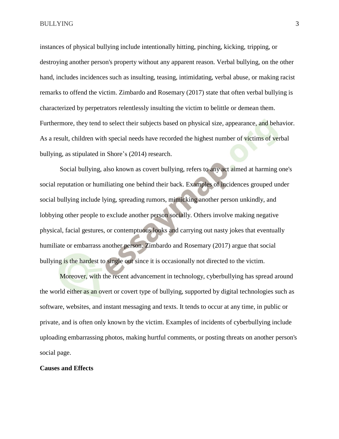instances of physical bullying include intentionally hitting, pinching, kicking, tripping, or destroying another person's property without any apparent reason. Verbal bullying, on the other hand, includes incidences such as insulting, teasing, intimidating, verbal abuse, or making racist remarks to offend the victim. Zimbardo and Rosemary (2017) state that often verbal bullying is characterized by perpetrators relentlessly insulting the victim to belittle or demean them. Furthermore, they tend to select their subjects based on physical size, appearance, and behavior. As a result, children with special needs have recorded the highest number of victims of verbal bullying, as stipulated in Shore's (2014) research.

Social bullying, also known as covert bullying, refers to any act aimed at harming one's social reputation or humiliating one behind their back. Examples of incidences grouped under social bullying include lying, spreading rumors, mimicking another person unkindly, and lobbying other people to exclude another person socially. Others involve making negative physical, facial gestures, or contemptuous looks and carrying out nasty jokes that eventually humiliate or embarrass another person. Zimbardo and Rosemary (2017) argue that social bullying is the hardest to single out since it is occasionally not directed to the victim.

Moreover, with the recent advancement in technology, cyberbullying has spread around the world either as an overt or covert type of bullying, supported by digital technologies such as software, websites, and instant messaging and texts. It tends to occur at any time, in public or private, and is often only known by the victim. Examples of incidents of cyberbullying include uploading embarrassing photos, making hurtful comments, or posting threats on another person's social page.

#### **Causes and Effects**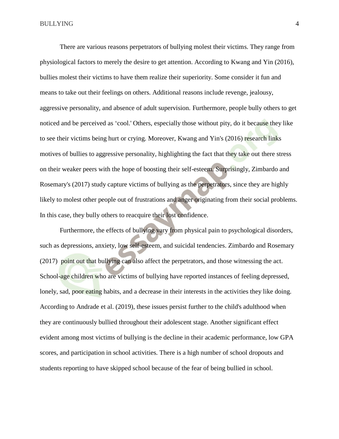There are various reasons perpetrators of bullying molest their victims. They range from physiological factors to merely the desire to get attention. According to Kwang and Yin (2016), bullies molest their victims to have them realize their superiority. Some consider it fun and means to take out their feelings on others. Additional reasons include revenge, jealousy, aggressive personality, and absence of adult supervision. Furthermore, people bully others to get noticed and be perceived as 'cool.' Others, especially those without pity, do it because they like to see their victims being hurt or crying. Moreover, Kwang and Yin's (2016) research links motives of bullies to aggressive personality, highlighting the fact that they take out there stress on their weaker peers with the hope of boosting their self-esteem. Surprisingly, Zimbardo and Rosemary's (2017) study capture victims of bullying as the perpetrators, since they are highly likely to molest other people out of frustrations and anger originating from their social problems. In this case, they bully others to reacquire their lost confidence.

Furthermore, the effects of bullying vary from physical pain to psychological disorders, such as depressions, anxiety, low self-esteem, and suicidal tendencies. Zimbardo and Rosemary (2017) point out that bullying can also affect the perpetrators, and those witnessing the act. School-age children who are victims of bullying have reported instances of feeling depressed, lonely, sad, poor eating habits, and a decrease in their interests in the activities they like doing. According to Andrade et al. (2019), these issues persist further to the child's adulthood when they are continuously bullied throughout their adolescent stage. Another significant effect evident among most victims of bullying is the decline in their academic performance, low GPA scores, and participation in school activities. There is a high number of school dropouts and students reporting to have skipped school because of the fear of being bullied in school.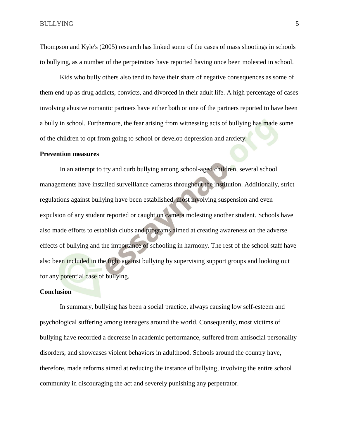Thompson and Kyle's (2005) research has linked some of the cases of mass shootings in schools to bullying, as a number of the perpetrators have reported having once been molested in school.

Kids who bully others also tend to have their share of negative consequences as some of them end up as drug addicts, convicts, and divorced in their adult life. A high percentage of cases involving abusive romantic partners have either both or one of the partners reported to have been a bully in school. Furthermore, the fear arising from witnessing acts of bullying has made some of the children to opt from going to school or develop depression and anxiety.

#### **Prevention measures**

In an attempt to try and curb bullying among school-aged children, several school managements have installed surveillance cameras throughout the institution. Additionally, strict regulations against bullying have been established, most involving suspension and even expulsion of any student reported or caught on camera molesting another student. Schools have also made efforts to establish clubs and programs aimed at creating awareness on the adverse effects of bullying and the importance of schooling in harmony. The rest of the school staff have also been included in the fight against bullying by supervising support groups and looking out for any potential case of bullying.

### **Conclusion**

In summary, bullying has been a social practice, always causing low self-esteem and psychological suffering among teenagers around the world. Consequently, most victims of bullying have recorded a decrease in academic performance, suffered from antisocial personality disorders, and showcases violent behaviors in adulthood. Schools around the country have, therefore, made reforms aimed at reducing the instance of bullying, involving the entire school community in discouraging the act and severely punishing any perpetrator.